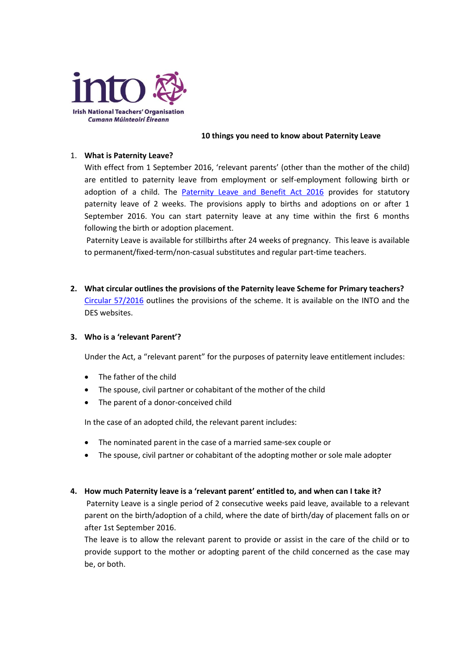

#### **10 things you need to know about Paternity Leave**

### 1. **What is Paternity Leave?**

With effect from 1 September 2016, 'relevant parents' (other than the mother of the child) are entitled to paternity leave from employment or self-employment following birth or adoption of a child. The [Paternity Leave and Benefit Act 2016](http://www.irishstatutebook.ie/eli/2016/act/11/enacted/en/html) provides for statutory paternity leave of 2 weeks. The provisions apply to births and adoptions on or after 1 September 2016. You can start paternity leave at any time within the first 6 months following the birth or adoption placement.

Paternity Leave is available for stillbirths after 24 weeks of pregnancy. This leave is available to permanent/fixed-term/non-casual substitutes and regular part-time teachers.

**2. What circular outlines the provisions of the Paternity leave Scheme for Primary teachers?** [Circular 57/2016](http://www.into.ie/ROI/InfoforTeachers/Circulars/Circulars2016/cl0057_2016.pdf) outlines the provisions of the scheme. It is available on the INTO and the DES websites.

#### **3. Who is a 'relevant Parent'?**

Under the Act, a "relevant parent" for the purposes of paternity leave entitlement includes:

- The father of the child
- The spouse, civil partner or cohabitant of the mother of the child
- The parent of a donor-conceived child

In the case of an adopted child, the relevant parent includes:

- The nominated parent in the case of a married same-sex couple or
- The spouse, civil partner or cohabitant of the adopting mother or sole male adopter

#### **4. How much Paternity leave is a 'relevant parent' entitled to, and when can I take it?**

Paternity Leave is a single period of 2 consecutive weeks paid leave, available to a relevant parent on the birth/adoption of a child, where the date of birth/day of placement falls on or after 1st September 2016.

The leave is to allow the relevant parent to provide or assist in the care of the child or to provide support to the mother or adopting parent of the child concerned as the case may be, or both.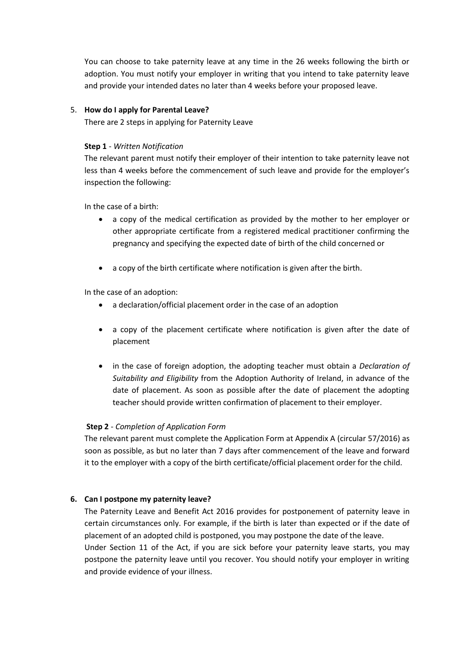You can choose to take paternity leave at any time in the 26 weeks following the birth or adoption. You must notify your employer in writing that you intend to take paternity leave and provide your intended dates no later than 4 weeks before your proposed leave.

### 5. **How do I apply for Parental Leave?**

There are 2 steps in applying for Paternity Leave

### **Step 1** - *Written Notification*

The relevant parent must notify their employer of their intention to take paternity leave not less than 4 weeks before the commencement of such leave and provide for the employer's inspection the following:

In the case of a birth:

- a copy of the medical certification as provided by the mother to her employer or other appropriate certificate from a registered medical practitioner confirming the pregnancy and specifying the expected date of birth of the child concerned or
- a copy of the birth certificate where notification is given after the birth.

In the case of an adoption:

- a declaration/official placement order in the case of an adoption
- a copy of the placement certificate where notification is given after the date of placement
- in the case of foreign adoption, the adopting teacher must obtain a *Declaration of Suitability and Eligibility* from the Adoption Authority of Ireland, in advance of the date of placement. As soon as possible after the date of placement the adopting teacher should provide written confirmation of placement to their employer.

# **Step 2** - *Completion of Application Form*

The relevant parent must complete the Application Form at Appendix A (circular 57/2016) as soon as possible, as but no later than 7 days after commencement of the leave and forward it to the employer with a copy of the birth certificate/official placement order for the child.

# **6. Can I postpone my paternity leave?**

The Paternity Leave and Benefit Act 2016 provides for postponement of paternity leave in certain circumstances only. For example, if the birth is later than expected or if the date of placement of an adopted child is postponed, you may postpone the date of the leave.

Under Section 11 of the Act, if you are sick before your paternity leave starts, you may postpone the paternity leave until you recover. You should notify your employer in writing and provide evidence of your illness.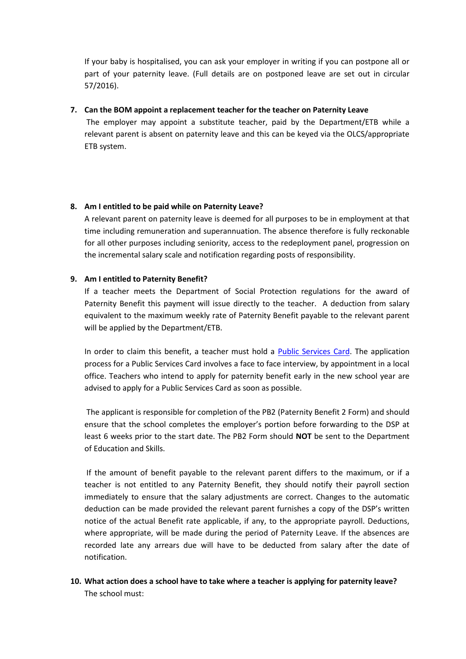If your baby is hospitalised, you can ask your employer in writing if you can postpone all or part of your paternity leave. (Full details are on postponed leave are set out in circular 57/2016).

### **7. Can the BOM appoint a replacement teacher for the teacher on Paternity Leave**

The employer may appoint a substitute teacher, paid by the Department/ETB while a relevant parent is absent on paternity leave and this can be keyed via the OLCS/appropriate ETB system.

# **8. Am I entitled to be paid while on Paternity Leave?**

A relevant parent on paternity leave is deemed for all purposes to be in employment at that time including remuneration and superannuation. The absence therefore is fully reckonable for all other purposes including seniority, access to the redeployment panel, progression on the incremental salary scale and notification regarding posts of responsibility.

# **9. Am I entitled to Paternity Benefit?**

If a teacher meets the Department of Social Protection regulations for the award of Paternity Benefit this payment will issue directly to the teacher. A deduction from salary equivalent to the maximum weekly rate of Paternity Benefit payable to the relevant parent will be applied by the Department/ETB.

In order to claim this benefit, a teacher must hold a [Public Services Card.](http://www.welfare.ie/en/Pages/Public-Services-Card_holder.aspx) The application process for a Public Services Card involves a face to face interview, by appointment in a local office. Teachers who intend to apply for paternity benefit early in the new school year are advised to apply for a Public Services Card as soon as possible.

The applicant is responsible for completion of the PB2 (Paternity Benefit 2 Form) and should ensure that the school completes the employer's portion before forwarding to the DSP at least 6 weeks prior to the start date. The PB2 Form should **NOT** be sent to the Department of Education and Skills.

If the amount of benefit payable to the relevant parent differs to the maximum, or if a teacher is not entitled to any Paternity Benefit, they should notify their payroll section immediately to ensure that the salary adjustments are correct. Changes to the automatic deduction can be made provided the relevant parent furnishes a copy of the DSP's written notice of the actual Benefit rate applicable, if any, to the appropriate payroll. Deductions, where appropriate, will be made during the period of Paternity Leave. If the absences are recorded late any arrears due will have to be deducted from salary after the date of notification.

**10. What action does a school have to take where a teacher is applying for paternity leave?** The school must: